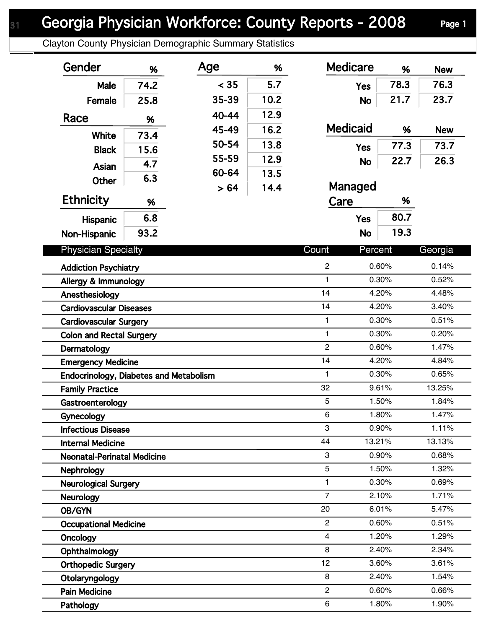Clayton County Physician Demographic Summary Statistics

| Gender                                        | %    | Age   | %    | <b>Medicare</b>     | %              | <b>New</b>     |
|-----------------------------------------------|------|-------|------|---------------------|----------------|----------------|
| Male                                          | 74.2 | < 35  | 5.7  | <b>Yes</b>          | 78.3           | 76.3           |
| Female                                        | 25.8 | 35-39 | 10.2 | <b>No</b>           | 21.7           | 23.7           |
| Race                                          |      | 40-44 | 12.9 |                     |                |                |
|                                               | %    | 45-49 | 16.2 | <b>Medicaid</b>     | %              | <b>New</b>     |
| <b>White</b>                                  | 73.4 | 50-54 | 13.8 | <b>Yes</b>          | 77.3           | 73.7           |
| <b>Black</b>                                  | 15.6 | 55-59 | 12.9 |                     | 22.7           | 26.3           |
| Asian                                         | 4.7  | 60-64 | 13.5 | <b>No</b>           |                |                |
| <b>Other</b>                                  | 6.3  | > 64  | 14.4 | Managed             |                |                |
| <b>Ethnicity</b>                              | %    |       |      | Care                | %              |                |
|                                               | 6.8  |       |      | <b>Yes</b>          | 80.7           |                |
| <b>Hispanic</b>                               | 93.2 |       |      | <b>No</b>           | 19.3           |                |
| Non-Hispanic                                  |      |       |      |                     |                |                |
| <b>Physician Specialty</b>                    |      |       |      | Count               | Percent        | Georgia        |
| <b>Addiction Psychiatry</b>                   |      |       |      | $\overline{c}$      | 0.60%          | 0.14%          |
| Allergy & Immunology                          |      |       |      | 1                   | 0.30%          | 0.52%          |
| Anesthesiology                                |      |       |      | 14                  | 4.20%          | 4.48%          |
| <b>Cardiovascular Diseases</b>                |      |       |      | 14                  | 4.20%          | 3.40%<br>0.51% |
| <b>Cardiovascular Surgery</b>                 |      |       |      | $\mathbf{1}$        | 0.30%          |                |
| <b>Colon and Rectal Surgery</b>               |      |       |      | 1                   | 0.30%          | 0.20%          |
| Dermatology                                   |      |       |      | $\overline{2}$      | 0.60%          | 1.47%          |
| <b>Emergency Medicine</b>                     |      |       |      | 14                  | 4.20%          | 4.84%          |
| <b>Endocrinology, Diabetes and Metabolism</b> |      |       |      | $\mathbf{1}$        | 0.30%          | 0.65%          |
| <b>Family Practice</b>                        |      |       |      | 32                  | 9.61%          | 13.25%         |
| Gastroenterology                              |      |       |      | 5                   | 1.50%          | 1.84%          |
| Gynecology                                    |      |       |      | 6                   | 1.80%          | 1.47%          |
| <b>Infectious Disease</b>                     |      |       |      | 3                   | 0.90%          | 1.11%          |
| <b>Internal Medicine</b>                      |      |       |      | 44                  | 13.21%         | 13.13%         |
| <b>Neonatal-Perinatal Medicine</b>            |      |       |      | 3                   | 0.90%          | 0.68%          |
| <b>Nephrology</b>                             |      |       |      | 5                   | 1.50%          | 1.32%          |
| <b>Neurological Surgery</b>                   |      |       |      | 1<br>$\overline{7}$ | 0.30%          | 0.69%          |
| <b>Neurology</b>                              |      |       |      | 20                  | 2.10%          | 1.71%          |
| OB/GYN                                        |      |       |      | $\mathbf{2}$        | 6.01%<br>0.60% | 5.47%<br>0.51% |
| <b>Occupational Medicine</b>                  |      |       |      | $\overline{4}$      | 1.20%          | 1.29%          |
| Oncology                                      |      |       |      | 8                   | 2.40%          | 2.34%          |
| Ophthalmology                                 |      |       |      | 12                  | 3.60%          | 3.61%          |
| <b>Orthopedic Surgery</b>                     |      |       |      | 8                   | 2.40%          | 1.54%          |
| Otolaryngology<br><b>Pain Medicine</b>        |      |       |      | $\overline{2}$      | 0.60%          | 0.66%          |
|                                               |      |       |      | 6                   | 1.80%          | 1.90%          |
| Pathology                                     |      |       |      |                     |                |                |